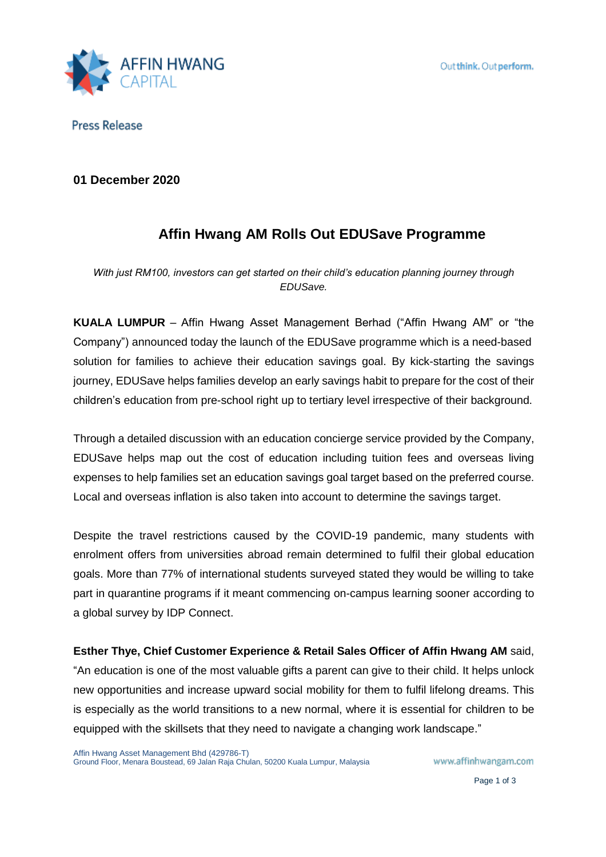

**Press Release** 

**01 December 2020**

# **Affin Hwang AM Rolls Out EDUSave Programme**

*With just RM100, investors can get started on their child's education planning journey through EDUSave.*

**KUALA LUMPUR** – Affin Hwang Asset Management Berhad ("Affin Hwang AM" or "the Company") announced today the launch of the EDUSave programme which is a need-based solution for families to achieve their education savings goal. By kick-starting the savings journey, EDUSave helps families develop an early savings habit to prepare for the cost of their children's education from pre-school right up to tertiary level irrespective of their background.

Through a detailed discussion with an education concierge service provided by the Company, EDUSave helps map out the cost of education including tuition fees and overseas living expenses to help families set an education savings goal target based on the preferred course. Local and overseas inflation is also taken into account to determine the savings target.

Despite the travel restrictions caused by the COVID-19 pandemic, many students with enrolment offers from universities abroad remain determined to fulfil their global education goals. More than 77% of international students surveyed stated they would be willing to take part in quarantine programs if it meant commencing on-campus learning sooner according to a global survey by IDP Connect.

**Esther Thye, Chief Customer Experience & Retail Sales Officer of Affin Hwang AM** said, "An education is one of the most valuable gifts a parent can give to their child. It helps unlock new opportunities and increase upward social mobility for them to fulfil lifelong dreams. This is especially as the world transitions to a new normal, where it is essential for children to be equipped with the skillsets that they need to navigate a changing work landscape."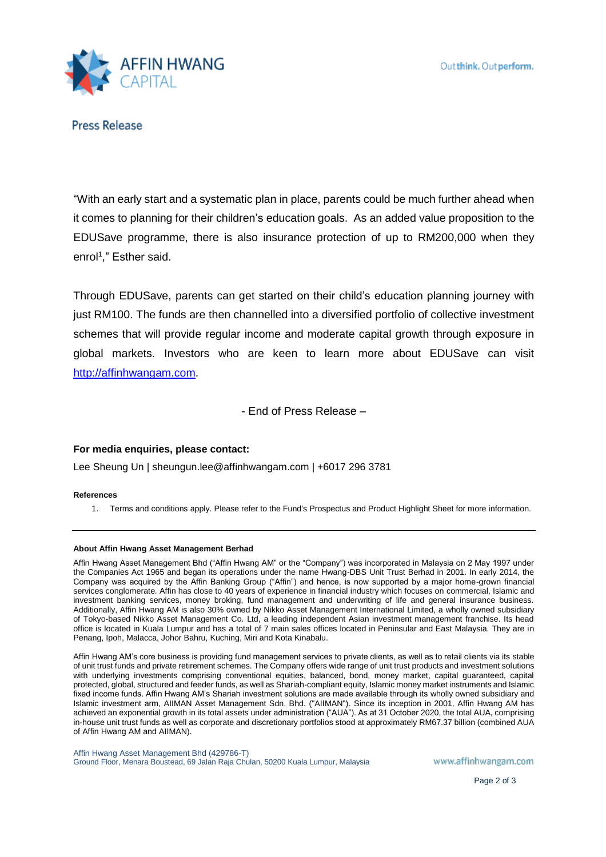

**Press Release** 

"With an early start and a systematic plan in place, parents could be much further ahead when it comes to planning for their children's education goals. As an added value proposition to the EDUSave programme, there is also insurance protection of up to RM200,000 when they enrol<sup>1</sup> ," Esther said.

Through EDUSave, parents can get started on their child's education planning journey with just RM100. The funds are then channelled into a diversified portfolio of collective investment schemes that will provide regular income and moderate capital growth through exposure in global markets. Investors who are keen to learn more about EDUSave can visit http://affinhwangam.com.

- End of Press Release –

## **For media enquiries, please contact:**

Lee Sheung Un | sheungun.lee@affinhwangam.com | +6017 296 3781

### **References**

1. Terms and conditions apply. Please refer to the Fund's Prospectus and Product Highlight Sheet for more information.

### **About Affin Hwang Asset Management Berhad**

Affin Hwang Asset Management Bhd ("Affin Hwang AM" or the "Company") was incorporated in Malaysia on 2 May 1997 under the Companies Act 1965 and began its operations under the name Hwang-DBS Unit Trust Berhad in 2001. In early 2014, the Company was acquired by the Affin Banking Group ("Affin") and hence, is now supported by a major home-grown financial services conglomerate. Affin has close to 40 years of experience in financial industry which focuses on commercial, Islamic and investment banking services, money broking, fund management and underwriting of life and general insurance business. Additionally, Affin Hwang AM is also 30% owned by Nikko Asset Management International Limited, a wholly owned subsidiary of Tokyo-based Nikko Asset Management Co. Ltd, a leading independent Asian investment management franchise. Its head office is located in Kuala Lumpur and has a total of 7 main sales offices located in Peninsular and East Malaysia. They are in Penang, Ipoh, Malacca, Johor Bahru, Kuching, Miri and Kota Kinabalu.

Affin Hwang AM's core business is providing fund management services to private clients, as well as to retail clients via its stable of unit trust funds and private retirement schemes. The Company offers wide range of unit trust products and investment solutions with underlying investments comprising conventional equities, balanced, bond, money market, capital guaranteed, capital protected, global, structured and feeder funds, as well as Shariah-compliant equity, Islamic money market instruments and Islamic fixed income funds. Affin Hwang AM's Shariah investment solutions are made available through its wholly owned subsidiary and Islamic investment arm, AIIMAN Asset Management Sdn. Bhd. ("AIIMAN"). Since its inception in 2001, Affin Hwang AM has achieved an exponential growth in its total assets under administration ("AUA"). As at 31 October 2020, the total AUA, comprising in-house unit trust funds as well as corporate and discretionary portfolios stood at approximately RM67.37 billion (combined AUA of Affin Hwang AM and AIIMAN).

Affin Hwang Asset Management Bhd (429786-T) Ground Floor, Menara Boustead, 69 Jalan Raja Chulan, 50200 Kuala Lumpur, Malaysia

www.affinhwangam.com